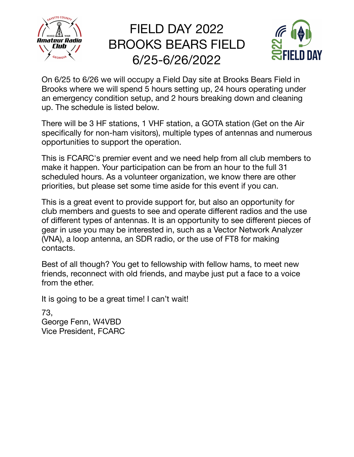

## FIELD DAY 2022 BROOKS BEARS FIELD 6/25-6/26/2022



On 6/25 to 6/26 we will occupy a Field Day site at Brooks Bears Field in Brooks where we will spend 5 hours setting up, 24 hours operating under an emergency condition setup, and 2 hours breaking down and cleaning up. The schedule is listed below.

There will be 3 HF stations, 1 VHF station, a GOTA station (Get on the Air specifically for non-ham visitors), multiple types of antennas and numerous opportunities to support the operation.

This is FCARC's premier event and we need help from all club members to make it happen. Your participation can be from an hour to the full 31 scheduled hours. As a volunteer organization, we know there are other priorities, but please set some time aside for this event if you can.

This is a great event to provide support for, but also an opportunity for club members and guests to see and operate different radios and the use of different types of antennas. It is an opportunity to see different pieces of gear in use you may be interested in, such as a Vector Network Analyzer (VNA), a loop antenna, an SDR radio, or the use of FT8 for making contacts.

Best of all though? You get to fellowship with fellow hams, to meet new friends, reconnect with old friends, and maybe just put a face to a voice from the ether.

It is going to be a great time! I can't wait!

73, George Fenn, W4VBD Vice President, FCARC